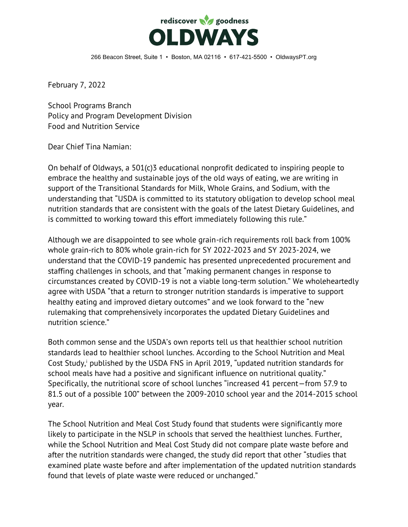

266 Beacon Street, Suite 1 • Boston, MA 02116 • 617-421-5500 • OldwaysPT.org

February 7, 2022

School Programs Branch Policy and Program Development Division Food and Nutrition Service

Dear Chief Tina Namian:

On behalf of Oldways, a 501(c)3 educational nonprofit dedicated to inspiring people to embrace the healthy and sustainable joys of the old ways of eating, we are writing in support of the Transitional Standards for Milk, Whole Grains, and Sodium, with the understanding that "USDA is committed to its statutory obligation to develop school meal nutrition standards that are consistent with the goals of the latest Dietary Guidelines, and is committed to working toward this effort immediately following this rule."

Although we are disappointed to see whole grain-rich requirements roll back from 100% whole grain-rich to 80% whole grain-rich for SY 2022-2023 and SY 2023-2024, we understand that the COVID-19 pandemic has presented unprecedented procurement and staffing challenges in schools, and that "making permanent changes in response to circumstances created by COVID-19 is not a viable long-term solution." We wholeheartedly agree with USDA "that a return to stronger nutrition standards is imperative to support healthy eating and improved dietary outcomes" and we look forward to the "new rulemaking that comprehensively incorporates the updated Dietary Guidelines and nutrition science."

Both common sense and the USDA's own reports tell us that healthier school nutrition standards lead to healthier school lunches. According to the School Nutrition and Meal Cost Study,<sup>i</sup> published by the USDA FNS in April 2019, "updated nutrition standards for school meals have had a positive and significant influence on nutritional quality." Specifically, the nutritional score of school lunches "increased 41 percent—from 57.9 to 81.5 out of a possible 100" between the 2009-2010 school year and the 2014-2015 school year.

The School Nutrition and Meal Cost Study found that students were significantly more likely to participate in the NSLP in schools that served the healthiest lunches. Further, while the School Nutrition and Meal Cost Study did not compare plate waste before and after the nutrition standards were changed, the study did report that other "studies that examined plate waste before and after implementation of the updated nutrition standards found that levels of plate waste were reduced or unchanged."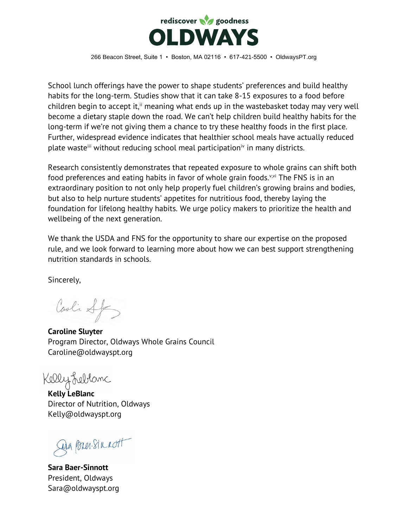

266 Beacon Street, Suite 1 • Boston, MA 02116 • 617-421-5500 • OldwaysPT.org

School lunch offerings have the power to shape students' preferences and build healthy habits for the long-term. Studies show that it can take 8-15 exposures to a food before children begin to accept it,<sup>ii</sup> meaning what ends up in the wastebasket today may very well become a dietary staple down the road. We can't help children build healthy habits for the long-term if we're not giving them a chance to try these healthy foods in the first place. Further, widespread evidence indicates that healthier school meals have actually reduced plate waste<sup>iii</sup> without reducing school meal participation<sup>iv</sup> in many districts.

Research consistently demonstrates that repeated exposure to whole grains can shift both food preferences and eating habits in favor of whole grain foods.<sup>v,vi</sup> The FNS is in an extraordinary position to not only help properly fuel children's growing brains and bodies, but also to help nurture students' appetites for nutritious food, thereby laying the foundation for lifelong healthy habits. We urge policy makers to prioritize the health and wellbeing of the next generation.

We thank the USDA and FNS for the opportunity to share our expertise on the proposed rule, and we look forward to learning more about how we can best support strengthening nutrition standards in schools.

Sincerely,

Carli Sf

**Caroline Sluyter** Program Director, Oldways Whole Grains Council Caroline@oldwayspt.org

Kelly Leblanc

**Kelly LeBlanc** Director of Nutrition, Oldways Kelly@oldwayspt.org

Dan Pozer-Simmott

**Sara Baer-Sinnott** President, Oldways Sara@oldwayspt.org